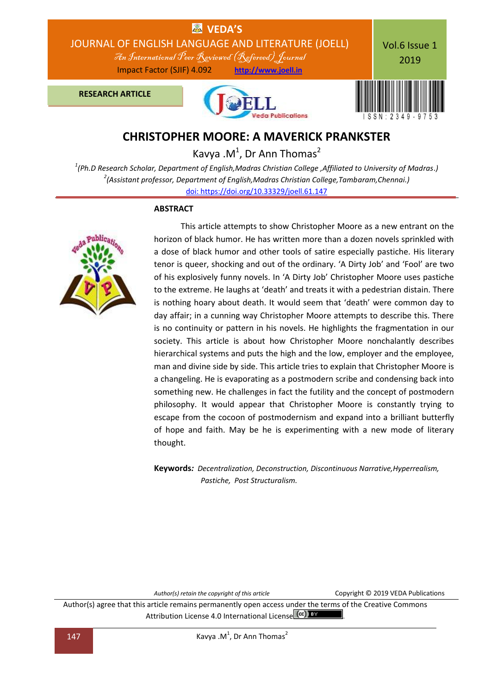

# **CHRISTOPHER MOORE: A MAVERICK PRANKSTER**

Kavya . $M^1$ , Dr Ann Thomas<sup>2</sup>

*1 (Ph.D Research Scholar, Department of English,Madras Christian College ,Affiliated to University of Madras.) 2 (Assistant professor, Department of English,Madras Christian College,Tambaram,Chennai.)* [doi: https://doi.org/10.33329/joell.61.147](http://joell.in/vol-6-issue-1-2019/)

#### **ABSTRACT**



 This article attempts to show Christopher Moore as a new entrant on the horizon of black humor. He has written more than a dozen novels sprinkled with a dose of black humor and other tools of satire especially pastiche. His literary tenor is queer, shocking and out of the ordinary. 'A Dirty Job' and 'Fool' are two of his explosively funny novels. In 'A Dirty Job' Christopher Moore uses pastiche to the extreme. He laughs at 'death' and treats it with a pedestrian distain. There is nothing hoary about death. It would seem that 'death' were common day to day affair; in a cunning way Christopher Moore attempts to describe this. There is no continuity or pattern in his novels. He highlights the fragmentation in our society. This article is about how Christopher Moore nonchalantly describes hierarchical systems and puts the high and the low, employer and the employee, man and divine side by side. This article tries to explain that Christopher Moore is a changeling. He is evaporating as a postmodern scribe and condensing back into something new. He challenges in fact the futility and the concept of postmodern philosophy. It would appear that Christopher Moore is constantly trying to escape from the cocoon of postmodernism and expand into a brilliant butterfly of hope and faith. May be he is experimenting with a new mode of literary thought.

**Keywords***: Decentralization, Deconstruction, Discontinuous Narrative,Hyperrealism, Pastiche, Post Structuralism.*

*Author(s) retain the copyright of this article* Copyright © 2019 VEDA Publications

Author(s) agree that this article remains permanently open access under the terms of the Creative Commons Attribution License 4.0 International License (cc) BY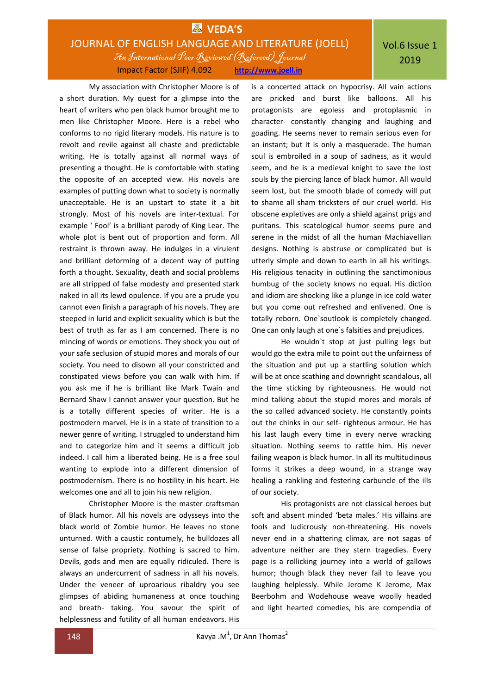### **EX** VEDA'S JOURNAL OF ENGLISH LANGUAGE AND LITERATURE (JOELL) An International Peer Reviewed (Refereed)Journal Impact Factor (SJIF) 4.092 **http://www.joell.in**

My association with Christopher Moore is of a short duration. My quest for a glimpse into the heart of writers who pen black humor brought me to men like Christopher Moore. Here is a rebel who conforms to no rigid literary models. His nature is to revolt and revile against all chaste and predictable writing. He is totally against all normal ways of presenting a thought. He is comfortable with stating the opposite of an accepted view. His novels are examples of putting down what to society is normally unacceptable. He is an upstart to state it a bit strongly. Most of his novels are inter-textual. For example ' Fool' is a brilliant parody of King Lear. The whole plot is bent out of proportion and form. All restraint is thrown away. He indulges in a virulent and brilliant deforming of a decent way of putting forth a thought. Sexuality, death and social problems are all stripped of false modesty and presented stark naked in all its lewd opulence. If you are a prude you cannot even finish a paragraph of his novels. They are steeped in lurid and explicit sexuality which is but the best of truth as far as I am concerned. There is no mincing of words or emotions. They shock you out of your safe seclusion of stupid mores and morals of our society. You need to disown all your constricted and constipated views before you can walk with him. If you ask me if he is brilliant like Mark Twain and Bernard Shaw I cannot answer your question. But he is a totally different species of writer. He is a postmodern marvel. He is in a state of transition to a newer genre of writing. I struggled to understand him and to categorize him and it seems a difficult job indeed. I call him a liberated being. He is a free soul wanting to explode into a different dimension of postmodernism. There is no hostility in his heart. He welcomes one and all to join his new religion.

Christopher Moore is the master craftsman of Black humor. All his novels are odysseys into the black world of Zombie humor. He leaves no stone unturned. With a caustic contumely, he bulldozes all sense of false propriety. Nothing is sacred to him. Devils, gods and men are equally ridiculed. There is always an undercurrent of sadness in all his novels. Under the veneer of uproarious ribaldry you see glimpses of abiding humaneness at once touching and breath- taking. You savour the spirit of helplessness and futility of all human endeavors. His

is a concerted attack on hypocrisy. All vain actions are pricked and burst like balloons. All his protagonists are egoless and protoplasmic in character- constantly changing and laughing and goading. He seems never to remain serious even for an instant; but it is only a masquerade. The human soul is embroiled in a soup of sadness, as it would seem, and he is a medieval knight to save the lost souls by the piercing lance of black humor. All would seem lost, but the smooth blade of comedy will put to shame all sham tricksters of our cruel world. His obscene expletives are only a shield against prigs and puritans. This scatological humor seems pure and serene in the midst of all the human Machiavellian designs. Nothing is abstruse or complicated but is utterly simple and down to earth in all his writings. His religious tenacity in outlining the sanctimonious humbug of the society knows no equal. His diction and idiom are shocking like a plunge in ice cold water but you come out refreshed and enlivened. One is totally reborn. One`soutlook is completely changed. One can only laugh at one`s falsities and prejudices.

He wouldn`t stop at just pulling legs but would go the extra mile to point out the unfairness of the situation and put up a startling solution which will be at once scathing and downright scandalous, all the time sticking by righteousness. He would not mind talking about the stupid mores and morals of the so called advanced society. He constantly points out the chinks in our self- righteous armour. He has his last laugh every time in every nerve wracking situation. Nothing seems to rattle him. His never failing weapon is black humor. In all its multitudinous forms it strikes a deep wound, in a strange way healing a rankling and festering carbuncle of the ills of our society.

His protagonists are not classical heroes but soft and absent minded 'beta males.' His villains are fools and ludicrously non-threatening. His novels never end in a shattering climax, are not sagas of adventure neither are they stern tragedies. Every page is a rollicking journey into a world of gallows humor; though black they never fail to leave you laughing helplessly. While Jerome K Jerome, Max Beerbohm and Wodehouse weave woolly headed and light hearted comedies, his are compendia of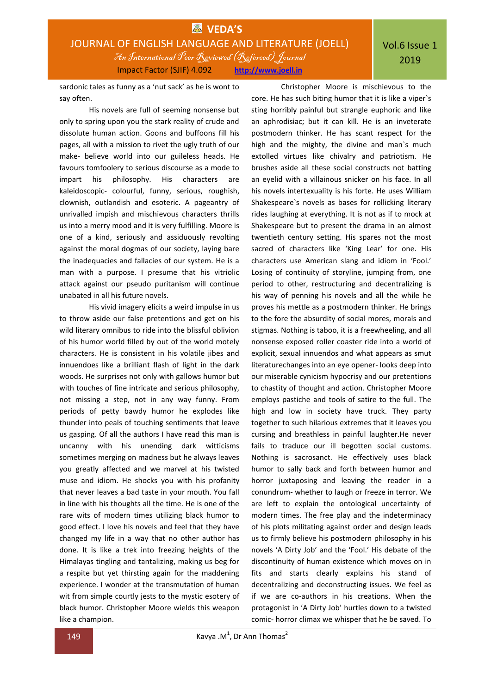## **EDA'S** JOURNAL OF ENGLISH LANGUAGE AND LITERATURE (JOELL) An International Peer Reviewed (Refereed)Journal Impact Factor (SJIF) 4.092 **http://www.joell.in**

sardonic tales as funny as a 'nut sack' as he is wont to say often.

His novels are full of seeming nonsense but only to spring upon you the stark reality of crude and dissolute human action. Goons and buffoons fill his pages, all with a mission to rivet the ugly truth of our make- believe world into our guileless heads. He favours tomfoolery to serious discourse as a mode to impart his philosophy. His characters are kaleidoscopic- colourful, funny, serious, roughish, clownish, outlandish and esoteric. A pageantry of unrivalled impish and mischievous characters thrills us into a merry mood and it is very fulfilling. Moore is one of a kind, seriously and assiduously revolting against the moral dogmas of our society, laying bare the inadequacies and fallacies of our system. He is a man with a purpose. I presume that his vitriolic attack against our pseudo puritanism will continue unabated in all his future novels.

His vivid imagery elicits a weird impulse in us to throw aside our false pretentions and get on his wild literary omnibus to ride into the blissful oblivion of his humor world filled by out of the world motely characters. He is consistent in his volatile jibes and innuendoes like a brilliant flash of light in the dark woods. He surprises not only with gallows humor but with touches of fine intricate and serious philosophy, not missing a step, not in any way funny. From periods of petty bawdy humor he explodes like thunder into peals of touching sentiments that leave us gasping. Of all the authors I have read this man is uncanny with his unending dark witticisms sometimes merging on madness but he always leaves you greatly affected and we marvel at his twisted muse and idiom. He shocks you with his profanity that never leaves a bad taste in your mouth. You fall in line with his thoughts all the time. He is one of the rare wits of modern times utilizing black humor to good effect. I love his novels and feel that they have changed my life in a way that no other author has done. It is like a trek into freezing heights of the Himalayas tingling and tantalizing, making us beg for a respite but yet thirsting again for the maddening experience. I wonder at the transmutation of human wit from simple courtly jests to the mystic esotery of black humor. Christopher Moore wields this weapon like a champion.

Christopher Moore is mischievous to the core. He has such biting humor that it is like a viper`s sting horribly painful but strangle euphoric and like an aphrodisiac; but it can kill. He is an inveterate postmodern thinker. He has scant respect for the high and the mighty, the divine and man`s much extolled virtues like chivalry and patriotism. He brushes aside all these social constructs not batting an eyelid with a villainous snicker on his face. In all his novels intertexuality is his forte. He uses William Shakespeare`s novels as bases for rollicking literary rides laughing at everything. It is not as if to mock at Shakespeare but to present the drama in an almost twentieth century setting. His spares not the most sacred of characters like 'King Lear' for one. His characters use American slang and idiom in 'Fool.' Losing of continuity of storyline, jumping from, one period to other, restructuring and decentralizing is his way of penning his novels and all the while he proves his mettle as a postmodern thinker. He brings to the fore the absurdity of social mores, morals and stigmas. Nothing is taboo, it is a freewheeling, and all nonsense exposed roller coaster ride into a world of explicit, sexual innuendos and what appears as smut literaturechanges into an eye opener- looks deep into our miserable cynicism hypocrisy and our pretentions to chastity of thought and action. Christopher Moore employs pastiche and tools of satire to the full. The high and low in society have truck. They party together to such hilarious extremes that it leaves you cursing and breathless in painful laughter.He never fails to traduce our ill begotten social customs. Nothing is sacrosanct. He effectively uses black humor to sally back and forth between humor and horror juxtaposing and leaving the reader in a conundrum- whether to laugh or freeze in terror. We are left to explain the ontological uncertainty of modern times. The free play and the indeterminacy of his plots militating against order and design leads us to firmly believe his postmodern philosophy in his novels 'A Dirty Job' and the 'Fool.' His debate of the discontinuity of human existence which moves on in fits and starts clearly explains his stand of decentralizing and deconstructing issues. We feel as if we are co-authors in his creations. When the protagonist in 'A Dirty Job' hurtles down to a twisted comic- horror climax we whisper that he be saved. To